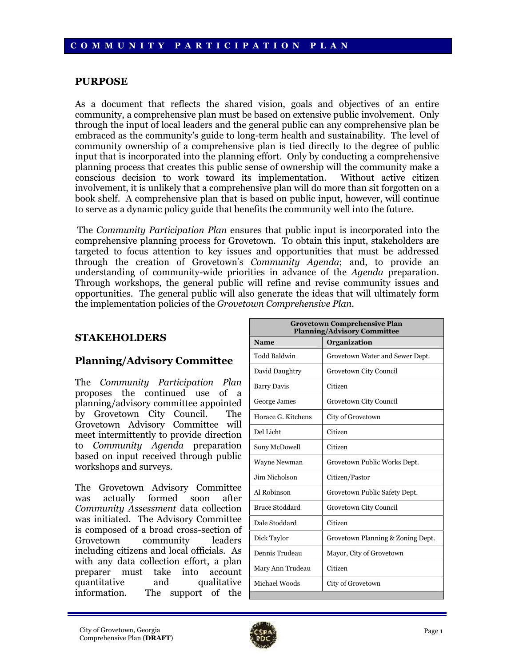## **PURPOSE**

As a document that reflects the shared vision, goals and objectives of an entire community, a comprehensive plan must be based on extensive public involvement. Only through the input of local leaders and the general public can any comprehensive plan be embraced as the community's guide to long-term health and sustainability. The level of community ownership of a comprehensive plan is tied directly to the degree of public input that is incorporated into the planning effort. Only by conducting a comprehensive planning process that creates this public sense of ownership will the community make a conscious decision to work toward its implementation. Without active citizen involvement, it is unlikely that a comprehensive plan will do more than sit forgotten on a book shelf. A comprehensive plan that is based on public input, however, will continue to serve as a dynamic policy guide that benefits the community well into the future.

The *Community Participation Plan* ensures that public input is incorporated into the comprehensive planning process for Grovetown. To obtain this input, stakeholders are targeted to focus attention to key issues and opportunities that must be addressed through the creation of Grovetown's *Community Agenda*; and, to provide an understanding of community-wide priorities in advance of the *Agenda* preparation. Through workshops, the general public will refine and revise community issues and opportunities. The general public will also generate the ideas that will ultimately form the implementation policies of the *Grovetown Comprehensive Plan*.

## **STAKEHOLDERS**

## **Planning/Advisory Committee**

The *Community Participation Plan* proposes the continued use of a planning/advisory committee appointed by Grovetown City Council. The Grovetown Advisory Committee will meet intermittently to provide direction to *Community Agenda* preparation based on input received through public workshops and surveys.

The Grovetown Advisory Committee was actually formed soon after *Community Assessment* data collection was initiated. The Advisory Committee is composed of a broad cross-section of Grovetown community leaders including citizens and local officials. As with any data collection effort, a plan preparer must take into account quantitative and qualitative information. The support of the

| <b>Grovetown Comprehensive Plan</b><br><b>Planning/Advisory Committee</b> |                                   |  |
|---------------------------------------------------------------------------|-----------------------------------|--|
| <b>Name</b>                                                               | Organization                      |  |
| Todd Baldwin                                                              | Grovetown Water and Sewer Dept.   |  |
| David Daughtry                                                            | Grovetown City Council            |  |
| <b>Barry Davis</b>                                                        | Citizen                           |  |
| George James                                                              | Grovetown City Council            |  |
| Horace G. Kitchens                                                        | City of Grovetown                 |  |
| Del Licht                                                                 | Citizen                           |  |
| Sony McDowell                                                             | Citizen                           |  |
| Wayne Newman                                                              | Grovetown Public Works Dept.      |  |
| Jim Nicholson                                                             | Citizen/Pastor                    |  |
| Al Robinson                                                               | Grovetown Public Safety Dept.     |  |
| Bruce Stoddard                                                            | Grovetown City Council            |  |
| Dale Stoddard                                                             | Citizen                           |  |
| Dick Taylor                                                               | Grovetown Planning & Zoning Dept. |  |
| Dennis Trudeau                                                            | Mayor, City of Grovetown          |  |
| Mary Ann Trudeau                                                          | Citizen                           |  |
| Michael Woods                                                             | City of Grovetown                 |  |

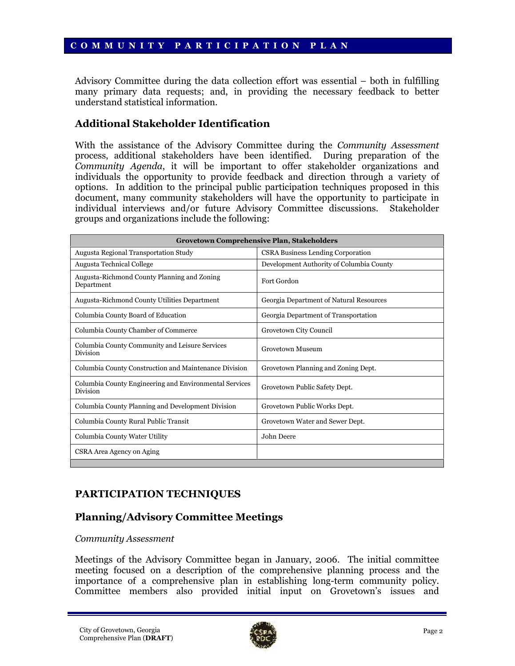#### **COMMUNITY PARTICIPATION PLAN**

Advisory Committee during the data collection effort was essential – both in fulfilling many primary data requests; and, in providing the necessary feedback to better understand statistical information.

## **Additional Stakeholder Identification**

With the assistance of the Advisory Committee during the *Community Assessment* process, additional stakeholders have been identified. During preparation of the *Community Agenda*, it will be important to offer stakeholder organizations and individuals the opportunity to provide feedback and direction through a variety of options. In addition to the principal public participation techniques proposed in this document, many community stakeholders will have the opportunity to participate in individual interviews and/or future Advisory Committee discussions. Stakeholder groups and organizations include the following:

| <b>Grovetown Comprehensive Plan, Stakeholders</b>                  |                                          |  |
|--------------------------------------------------------------------|------------------------------------------|--|
| Augusta Regional Transportation Study                              | <b>CSRA Business Lending Corporation</b> |  |
| Augusta Technical College                                          | Development Authority of Columbia County |  |
| Augusta-Richmond County Planning and Zoning<br>Department          | Fort Gordon                              |  |
| Augusta-Richmond County Utilities Department                       | Georgia Department of Natural Resources  |  |
| Columbia County Board of Education                                 | Georgia Department of Transportation     |  |
| Columbia County Chamber of Commerce                                | Grovetown City Council                   |  |
| Columbia County Community and Leisure Services<br>Division         | Grovetown Museum                         |  |
| Columbia County Construction and Maintenance Division              | Grovetown Planning and Zoning Dept.      |  |
| Columbia County Engineering and Environmental Services<br>Division | Grovetown Public Safety Dept.            |  |
| Columbia County Planning and Development Division                  | Grovetown Public Works Dept.             |  |
| Columbia County Rural Public Transit                               | Grovetown Water and Sewer Dept.          |  |
| Columbia County Water Utility                                      | John Deere                               |  |
| CSRA Area Agency on Aging                                          |                                          |  |

# **PARTICIPATION TECHNIQUES**

# **Planning/Advisory Committee Meetings**

### *Community Assessment*

Meetings of the Advisory Committee began in January, 2006. The initial committee meeting focused on a description of the comprehensive planning process and the importance of a comprehensive plan in establishing long-term community policy. Committee members also provided initial input on Grovetown's issues and

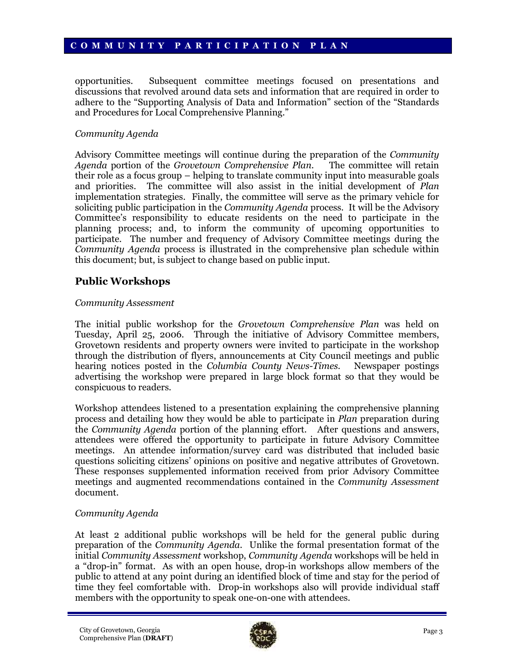### **COMMUNITY PARTICIPATION PLAN**

opportunities. Subsequent committee meetings focused on presentations and discussions that revolved around data sets and information that are required in order to adhere to the "Supporting Analysis of Data and Information" section of the "Standards and Procedures for Local Comprehensive Planning."

#### *Community Agenda*

Advisory Committee meetings will continue during the preparation of the *Community Agenda* portion of the *Grovetown Comprehensive Plan*. The committee will retain their role as a focus group – helping to translate community input into measurable goals and priorities. The committee will also assist in the initial development of *Plan* implementation strategies. Finally, the committee will serve as the primary vehicle for soliciting public participation in the *Community Agenda* process. It will be the Advisory Committee's responsibility to educate residents on the need to participate in the planning process; and, to inform the community of upcoming opportunities to participate. The number and frequency of Advisory Committee meetings during the *Community Agenda* process is illustrated in the comprehensive plan schedule within this document; but, is subject to change based on public input.

### **Public Workshops**

#### *Community Assessment*

The initial public workshop for the *Grovetown Comprehensive Plan* was held on Tuesday, April 25, 2006. Through the initiative of Advisory Committee members, Grovetown residents and property owners were invited to participate in the workshop through the distribution of flyers, announcements at City Council meetings and public hearing notices posted in the *Columbia County News-Times*. Newspaper postings advertising the workshop were prepared in large block format so that they would be conspicuous to readers.

Workshop attendees listened to a presentation explaining the comprehensive planning process and detailing how they would be able to participate in *Plan* preparation during the *Community Agenda* portion of the planning effort. After questions and answers, attendees were offered the opportunity to participate in future Advisory Committee meetings. An attendee information/survey card was distributed that included basic questions soliciting citizens' opinions on positive and negative attributes of Grovetown. These responses supplemented information received from prior Advisory Committee meetings and augmented recommendations contained in the *Community Assessment* document.

#### *Community Agenda*

At least 2 additional public workshops will be held for the general public during preparation of the *Community Agenda*. Unlike the formal presentation format of the initial *Community Assessment* workshop, *Community Agenda* workshops will be held in a "drop-in" format. As with an open house, drop-in workshops allow members of the public to attend at any point during an identified block of time and stay for the period of time they feel comfortable with. Drop-in workshops also will provide individual staff members with the opportunity to speak one-on-one with attendees.

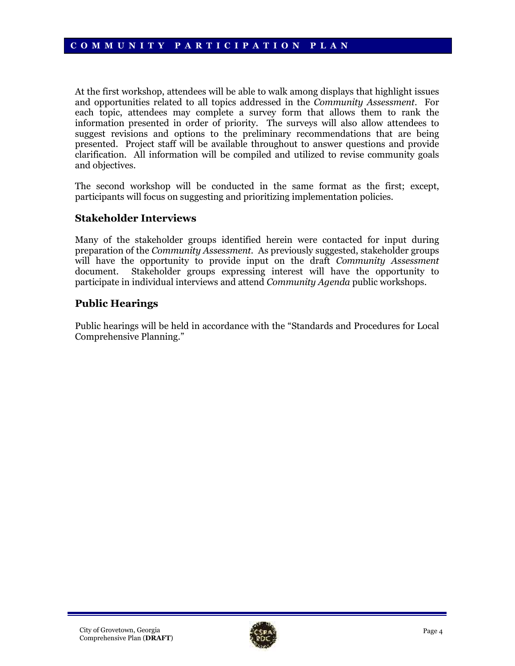At the first workshop, attendees will be able to walk among displays that highlight issues and opportunities related to all topics addressed in the *Community Assessment*. For each topic, attendees may complete a survey form that allows them to rank the information presented in order of priority. The surveys will also allow attendees to suggest revisions and options to the preliminary recommendations that are being presented. Project staff will be available throughout to answer questions and provide clarification. All information will be compiled and utilized to revise community goals and objectives.

The second workshop will be conducted in the same format as the first; except, participants will focus on suggesting and prioritizing implementation policies.

## **Stakeholder Interviews**

Many of the stakeholder groups identified herein were contacted for input during preparation of the *Community Assessment*. As previously suggested, stakeholder groups will have the opportunity to provide input on the draft *Community Assessment* document. Stakeholder groups expressing interest will have the opportunity to participate in individual interviews and attend *Community Agenda* public workshops.

## **Public Hearings**

Public hearings will be held in accordance with the "Standards and Procedures for Local Comprehensive Planning."